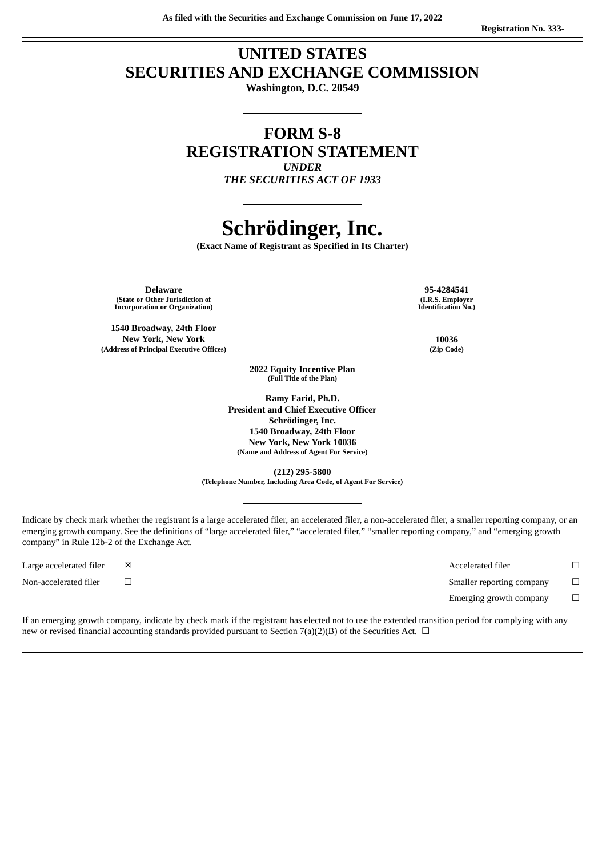# **UNITED STATES SECURITIES AND EXCHANGE COMMISSION**

**Washington, D.C. 20549**

# **FORM S-8 REGISTRATION STATEMENT** *UNDER*

*THE SECURITIES ACT OF 1933*

# **Schrödinger, Inc.**

**(Exact Name of Registrant as Specified in Its Charter)**

**Delaware 95-4284541 (State or Other Jurisdiction of Incorporation or Organization)**

**1540 Broadway, 24th Floor New York, New York 10036 (Address of Principal Executive Offices) (Zip Code)**

**(I.R.S. Employer Identification No.)**

**2022 Equity Incentive Plan (Full Title of the Plan)**

**Ramy Farid, Ph.D. President and Chief Executive Officer Schrödinger, Inc. 1540 Broadway, 24th Floor New York, New York 10036 (Name and Address of Agent For Service)**

**(212) 295-5800 (Telephone Number, Including Area Code, of Agent For Service)**

Indicate by check mark whether the registrant is a large accelerated filer, an accelerated filer, a non-accelerated filer, a smaller reporting company, or an emerging growth company. See the definitions of "large accelerated filer," "accelerated filer," "smaller reporting company," and "emerging growth company" in Rule 12b-2 of the Exchange Act.

Large accelerated filer ☒ Accelerated filer ☐ Non-accelerated filer ☐ Smaller reporting company ☐ Emerging growth company  $\Box$ 

If an emerging growth company, indicate by check mark if the registrant has elected not to use the extended transition period for complying with any new or revised financial accounting standards provided pursuant to Section 7(a)(2)(B) of the Securities Act.  $\Box$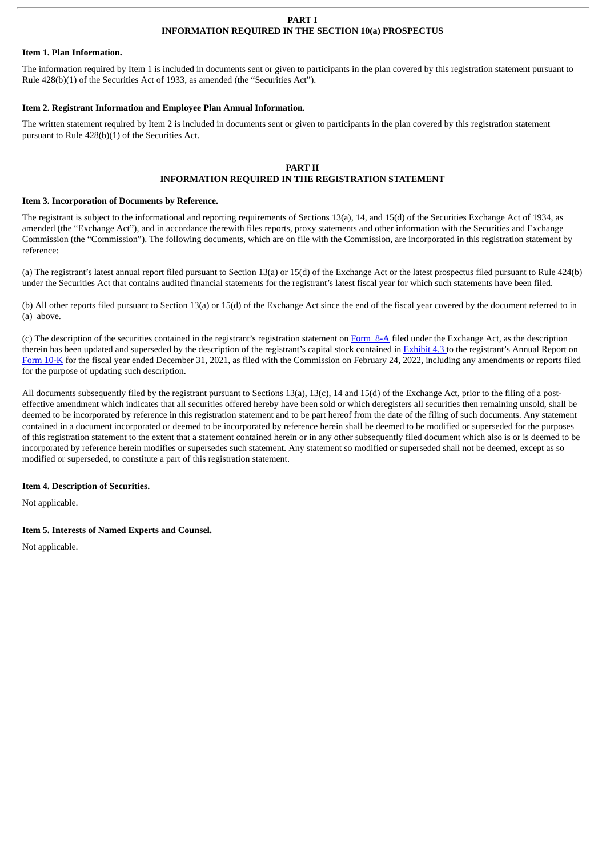#### **PART I INFORMATION REQUIRED IN THE SECTION 10(a) PROSPECTUS**

#### **Item 1. Plan Information.**

The information required by Item 1 is included in documents sent or given to participants in the plan covered by this registration statement pursuant to Rule 428(b)(1) of the Securities Act of 1933, as amended (the "Securities Act").

## **Item 2. Registrant Information and Employee Plan Annual Information.**

The written statement required by Item 2 is included in documents sent or given to participants in the plan covered by this registration statement pursuant to Rule 428(b)(1) of the Securities Act.

# **PART II INFORMATION REQUIRED IN THE REGISTRATION STATEMENT**

## **Item 3. Incorporation of Documents by Reference.**

The registrant is subject to the informational and reporting requirements of Sections 13(a), 14, and 15(d) of the Securities Exchange Act of 1934, as amended (the "Exchange Act"), and in accordance therewith files reports, proxy statements and other information with the Securities and Exchange Commission (the "Commission"). The following documents, which are on file with the Commission, are incorporated in this registration statement by reference:

(a) The registrant's latest annual report filed pursuant to Section 13(a) or 15(d) of the Exchange Act or the latest prospectus filed pursuant to Rule 424(b) under the Securities Act that contains audited financial statements for the registrant's latest fiscal year for which such statements have been filed.

(b) All other reports filed pursuant to Section 13(a) or 15(d) of the Exchange Act since the end of the fiscal year covered by the document referred to in (a) above.

(c) The description of the securities contained in the registrant's registration statement on  $Form 8-A$  $Form 8-A$  $Form 8-A$  filed under the Exchange Act, as the description</u> therein has been updated and superseded by the description of the registrant's capital stock contained in **[Exhibit](http://www.sec.gov/Archives/edgar/data/1490978/000156459021010727/sdgr-ex43_186.htm) 4.3** to the registrant's Annual Report on [Form](http://www.sec.gov/ix?doc=/Archives/edgar/data/1490978/000156459022006713/sdgr-10k_20211231.htm) 10-K for the fiscal year ended December 31, 2021, as filed with the Commission on February 24, 2022, including any amendments or reports filed for the purpose of updating such description.

All documents subsequently filed by the registrant pursuant to Sections 13(a), 13(c), 14 and 15(d) of the Exchange Act, prior to the filing of a posteffective amendment which indicates that all securities offered hereby have been sold or which deregisters all securities then remaining unsold, shall be deemed to be incorporated by reference in this registration statement and to be part hereof from the date of the filing of such documents. Any statement contained in a document incorporated or deemed to be incorporated by reference herein shall be deemed to be modified or superseded for the purposes of this registration statement to the extent that a statement contained herein or in any other subsequently filed document which also is or is deemed to be incorporated by reference herein modifies or supersedes such statement. Any statement so modified or superseded shall not be deemed, except as so modified or superseded, to constitute a part of this registration statement.

# **Item 4. Description of Securities.**

Not applicable.

# **Item 5. Interests of Named Experts and Counsel.**

Not applicable.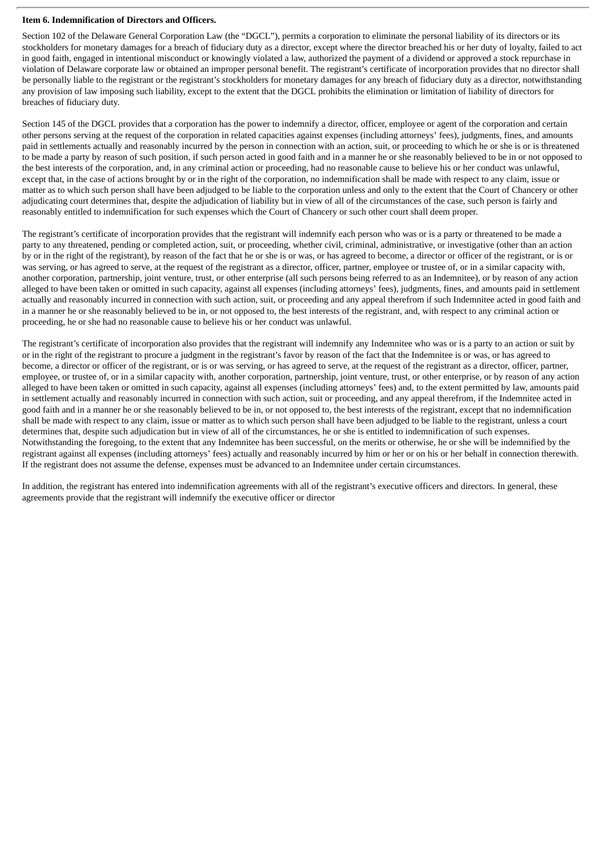## **Item 6. Indemnification of Directors and Officers.**

Section 102 of the Delaware General Corporation Law (the "DGCL"), permits a corporation to eliminate the personal liability of its directors or its stockholders for monetary damages for a breach of fiduciary duty as a director, except where the director breached his or her duty of loyalty, failed to act in good faith, engaged in intentional misconduct or knowingly violated a law, authorized the payment of a dividend or approved a stock repurchase in violation of Delaware corporate law or obtained an improper personal benefit. The registrant's certificate of incorporation provides that no director shall be personally liable to the registrant or the registrant's stockholders for monetary damages for any breach of fiduciary duty as a director, notwithstanding any provision of law imposing such liability, except to the extent that the DGCL prohibits the elimination or limitation of liability of directors for breaches of fiduciary duty.

Section 145 of the DGCL provides that a corporation has the power to indemnify a director, officer, employee or agent of the corporation and certain other persons serving at the request of the corporation in related capacities against expenses (including attorneys' fees), judgments, fines, and amounts paid in settlements actually and reasonably incurred by the person in connection with an action, suit, or proceeding to which he or she is or is threatened to be made a party by reason of such position, if such person acted in good faith and in a manner he or she reasonably believed to be in or not opposed to the best interests of the corporation, and, in any criminal action or proceeding, had no reasonable cause to believe his or her conduct was unlawful, except that, in the case of actions brought by or in the right of the corporation, no indemnification shall be made with respect to any claim, issue or matter as to which such person shall have been adjudged to be liable to the corporation unless and only to the extent that the Court of Chancery or other adjudicating court determines that, despite the adjudication of liability but in view of all of the circumstances of the case, such person is fairly and reasonably entitled to indemnification for such expenses which the Court of Chancery or such other court shall deem proper.

The registrant's certificate of incorporation provides that the registrant will indemnify each person who was or is a party or threatened to be made a party to any threatened, pending or completed action, suit, or proceeding, whether civil, criminal, administrative, or investigative (other than an action by or in the right of the registrant), by reason of the fact that he or she is or was, or has agreed to become, a director or officer of the registrant, or is or was serving, or has agreed to serve, at the request of the registrant as a director, officer, partner, employee or trustee of, or in a similar capacity with, another corporation, partnership, joint venture, trust, or other enterprise (all such persons being referred to as an Indemnitee), or by reason of any action alleged to have been taken or omitted in such capacity, against all expenses (including attorneys' fees), judgments, fines, and amounts paid in settlement actually and reasonably incurred in connection with such action, suit, or proceeding and any appeal therefrom if such Indemnitee acted in good faith and in a manner he or she reasonably believed to be in, or not opposed to, the best interests of the registrant, and, with respect to any criminal action or proceeding, he or she had no reasonable cause to believe his or her conduct was unlawful.

The registrant's certificate of incorporation also provides that the registrant will indemnify any Indemnitee who was or is a party to an action or suit by or in the right of the registrant to procure a judgment in the registrant's favor by reason of the fact that the Indemnitee is or was, or has agreed to become, a director or officer of the registrant, or is or was serving, or has agreed to serve, at the request of the registrant as a director, officer, partner, employee, or trustee of, or in a similar capacity with, another corporation, partnership, joint venture, trust, or other enterprise, or by reason of any action alleged to have been taken or omitted in such capacity, against all expenses (including attorneys' fees) and, to the extent permitted by law, amounts paid in settlement actually and reasonably incurred in connection with such action, suit or proceeding, and any appeal therefrom, if the Indemnitee acted in good faith and in a manner he or she reasonably believed to be in, or not opposed to, the best interests of the registrant, except that no indemnification shall be made with respect to any claim, issue or matter as to which such person shall have been adjudged to be liable to the registrant, unless a court determines that, despite such adjudication but in view of all of the circumstances, he or she is entitled to indemnification of such expenses. Notwithstanding the foregoing, to the extent that any Indemnitee has been successful, on the merits or otherwise, he or she will be indemnified by the registrant against all expenses (including attorneys' fees) actually and reasonably incurred by him or her or on his or her behalf in connection therewith. If the registrant does not assume the defense, expenses must be advanced to an Indemnitee under certain circumstances.

In addition, the registrant has entered into indemnification agreements with all of the registrant's executive officers and directors. In general, these agreements provide that the registrant will indemnify the executive officer or director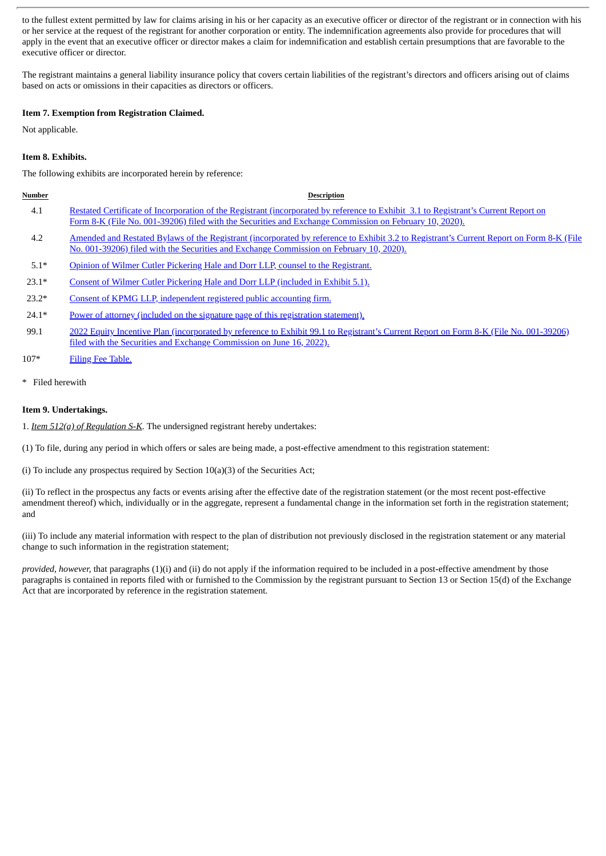to the fullest extent permitted by law for claims arising in his or her capacity as an executive officer or director of the registrant or in connection with his or her service at the request of the registrant for another corporation or entity. The indemnification agreements also provide for procedures that will apply in the event that an executive officer or director makes a claim for indemnification and establish certain presumptions that are favorable to the executive officer or director.

The registrant maintains a general liability insurance policy that covers certain liabilities of the registrant's directors and officers arising out of claims based on acts or omissions in their capacities as directors or officers.

# **Item 7. Exemption from Registration Claimed.**

Not applicable.

# **Item 8. Exhibits.**

The following exhibits are incorporated herein by reference:

| Number  | <b>Description</b>                                                                                                                                                                                                                            |
|---------|-----------------------------------------------------------------------------------------------------------------------------------------------------------------------------------------------------------------------------------------------|
| 4.1     | Restated Certificate of Incorporation of the Registrant (incorporated by reference to Exhibit 3.1 to Registrant's Current Report on<br>Form 8-K (File No. 001-39206) filed with the Securities and Exchange Commission on February 10, 2020). |
| 4.2     | <u>Amended and Restated Bylaws of the Registrant (incorporated by reference to Exhibit 3.2 to Registrant's Current Report on Form 8-K (File</u><br>No. 001-39206) filed with the Securities and Exchange Commission on February 10, 2020).    |
| $5.1*$  | Opinion of Wilmer Cutler Pickering Hale and Dorr LLP, counsel to the Registrant.                                                                                                                                                              |
| $23.1*$ | Consent of Wilmer Cutler Pickering Hale and Dorr LLP (included in Exhibit 5.1).                                                                                                                                                               |
| $23.2*$ | Consent of KPMG LLP, independent registered public accounting firm.                                                                                                                                                                           |
| $24.1*$ | Power of attorney (included on the signature page of this registration statement).                                                                                                                                                            |
| 99.1    | 2022 Equity Incentive Plan (incorporated by reference to Exhibit 99.1 to Registrant's Current Report on Form 8-K (File No. 001-39206)<br>filed with the Securities and Exchange Commission on June 16, 2022).                                 |

- 107\* Filing Fee [Table.](#page-10-0)
- \* Filed herewith

# **Item 9. Undertakings.**

1. *Item 512(a) of Regulation S-K*. The undersigned registrant hereby undertakes:

(1) To file, during any period in which offers or sales are being made, a post-effective amendment to this registration statement:

(i) To include any prospectus required by Section 10(a)(3) of the Securities Act;

(ii) To reflect in the prospectus any facts or events arising after the effective date of the registration statement (or the most recent post-effective amendment thereof) which, individually or in the aggregate, represent a fundamental change in the information set forth in the registration statement; and

(iii) To include any material information with respect to the plan of distribution not previously disclosed in the registration statement or any material change to such information in the registration statement;

*provided, however,* that paragraphs (1)(i) and (ii) do not apply if the information required to be included in a post-effective amendment by those paragraphs is contained in reports filed with or furnished to the Commission by the registrant pursuant to Section 13 or Section 15(d) of the Exchange Act that are incorporated by reference in the registration statement.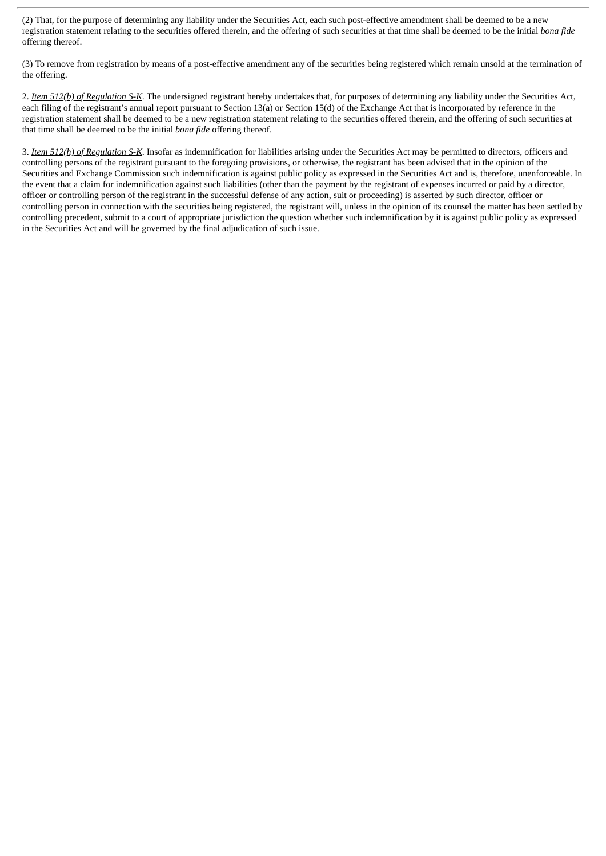(2) That, for the purpose of determining any liability under the Securities Act, each such post-effective amendment shall be deemed to be a new registration statement relating to the securities offered therein, and the offering of such securities at that time shall be deemed to be the initial *bona fide* offering thereof.

(3) To remove from registration by means of a post-effective amendment any of the securities being registered which remain unsold at the termination of the offering.

2. *Item 512(b) of Regulation S-K*. The undersigned registrant hereby undertakes that, for purposes of determining any liability under the Securities Act, each filing of the registrant's annual report pursuant to Section 13(a) or Section 15(d) of the Exchange Act that is incorporated by reference in the registration statement shall be deemed to be a new registration statement relating to the securities offered therein, and the offering of such securities at that time shall be deemed to be the initial *bona fide* offering thereof.

3. *Item 512(h) of Regulation S-K*. Insofar as indemnification for liabilities arising under the Securities Act may be permitted to directors, officers and controlling persons of the registrant pursuant to the foregoing provisions, or otherwise, the registrant has been advised that in the opinion of the Securities and Exchange Commission such indemnification is against public policy as expressed in the Securities Act and is, therefore, unenforceable. In the event that a claim for indemnification against such liabilities (other than the payment by the registrant of expenses incurred or paid by a director, officer or controlling person of the registrant in the successful defense of any action, suit or proceeding) is asserted by such director, officer or controlling person in connection with the securities being registered, the registrant will, unless in the opinion of its counsel the matter has been settled by controlling precedent, submit to a court of appropriate jurisdiction the question whether such indemnification by it is against public policy as expressed in the Securities Act and will be governed by the final adjudication of such issue.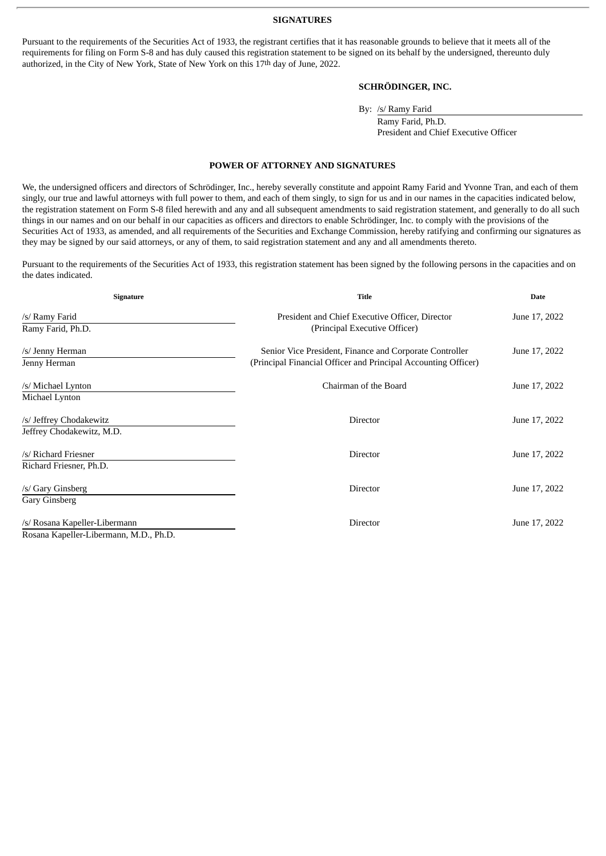#### **SIGNATURES**

<span id="page-5-0"></span>Pursuant to the requirements of the Securities Act of 1933, the registrant certifies that it has reasonable grounds to believe that it meets all of the requirements for filing on Form S-8 and has duly caused this registration statement to be signed on its behalf by the undersigned, thereunto duly authorized, in the City of New York, State of New York on this 17th day of June, 2022.

# **SCHRÖDINGER, INC.**

By: /s/ Ramy Farid

Ramy Farid, Ph.D. President and Chief Executive Officer

#### **POWER OF ATTORNEY AND SIGNATURES**

We, the undersigned officers and directors of Schrödinger, Inc., hereby severally constitute and appoint Ramy Farid and Yvonne Tran, and each of them singly, our true and lawful attorneys with full power to them, and each of them singly, to sign for us and in our names in the capacities indicated below, the registration statement on Form S-8 filed herewith and any and all subsequent amendments to said registration statement, and generally to do all such things in our names and on our behalf in our capacities as officers and directors to enable Schrödinger, Inc. to comply with the provisions of the Securities Act of 1933, as amended, and all requirements of the Securities and Exchange Commission, hereby ratifying and confirming our signatures as they may be signed by our said attorneys, or any of them, to said registration statement and any and all amendments thereto.

Pursuant to the requirements of the Securities Act of 1933, this registration statement has been signed by the following persons in the capacities and on the dates indicated.

| <b>Signature</b>                                                        | Title                                                                                                                     | Date          |  |
|-------------------------------------------------------------------------|---------------------------------------------------------------------------------------------------------------------------|---------------|--|
| /s/ Ramy Farid<br>Ramy Farid, Ph.D.                                     | President and Chief Executive Officer, Director<br>(Principal Executive Officer)                                          | June 17, 2022 |  |
| /s/ Jenny Herman<br>Jenny Herman                                        | Senior Vice President, Finance and Corporate Controller<br>(Principal Financial Officer and Principal Accounting Officer) | June 17, 2022 |  |
| /s/ Michael Lynton<br>Michael Lynton                                    | Chairman of the Board                                                                                                     | June 17, 2022 |  |
| /s/ Jeffrey Chodakewitz<br>Jeffrey Chodakewitz, M.D.                    | Director                                                                                                                  | June 17, 2022 |  |
| /s/ Richard Friesner<br>Richard Friesner, Ph.D.                         | Director                                                                                                                  | June 17, 2022 |  |
| /s/ Gary Ginsberg<br>Gary Ginsberg                                      | <b>Director</b>                                                                                                           | June 17, 2022 |  |
| /s/ Rosana Kapeller-Libermann<br>Rosana Kapeller-Libermann, M.D., Ph.D. | <b>Director</b>                                                                                                           | June 17, 2022 |  |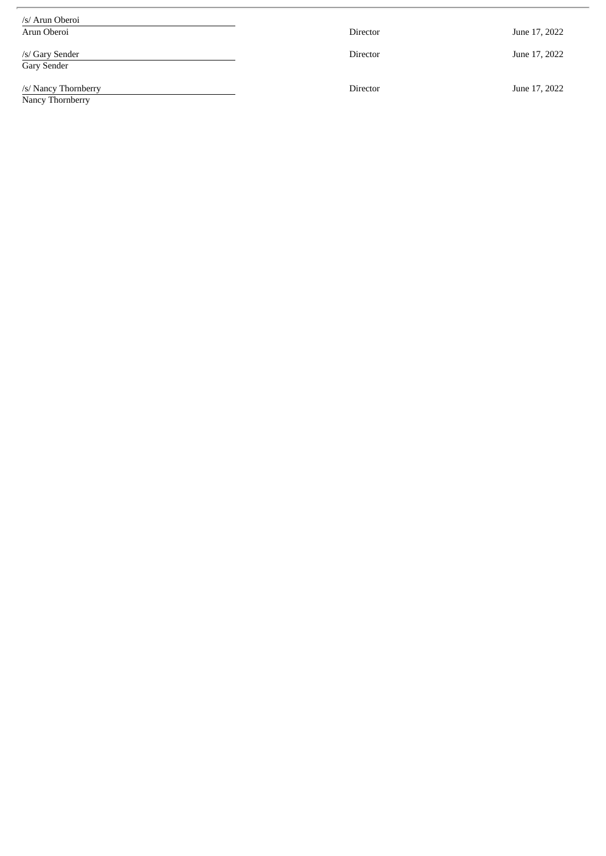| /s/ Arun Oberoi                          |                 |               |
|------------------------------------------|-----------------|---------------|
| Arun Oberoi                              | <b>Director</b> | June 17, 2022 |
| /s/ Gary Sender<br>Gary Sender           | <b>Director</b> | June 17, 2022 |
| /s/ Nancy Thornberry<br>Nancy Thornberry | <b>Director</b> | June 17, 2022 |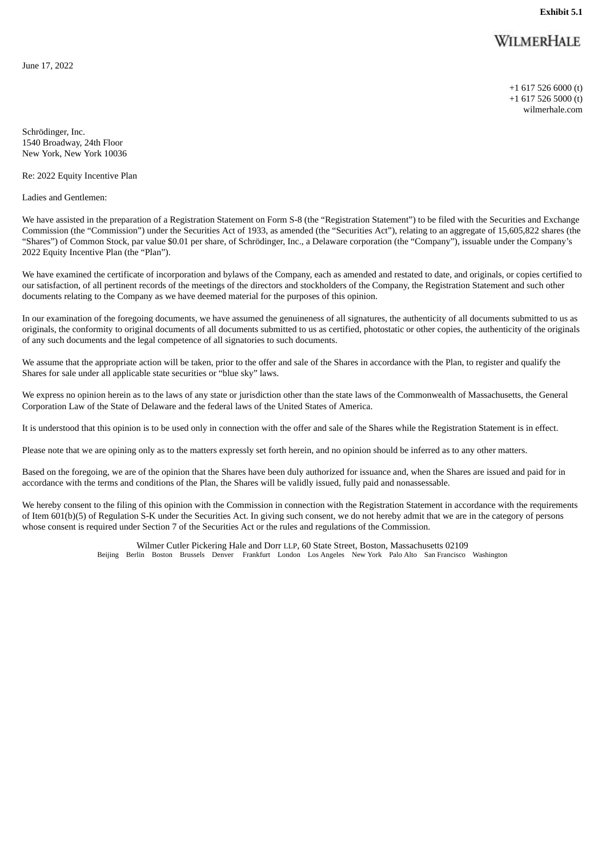# WILMERHALE

<span id="page-7-0"></span>June 17, 2022

+1 617 526 6000 (t) +1 617 526 5000 (t) wilmerhale.com

Schrödinger, Inc. 1540 Broadway, 24th Floor New York, New York 10036

Re: 2022 Equity Incentive Plan

Ladies and Gentlemen:

We have assisted in the preparation of a Registration Statement on Form S-8 (the "Registration Statement") to be filed with the Securities and Exchange Commission (the "Commission") under the Securities Act of 1933, as amended (the "Securities Act"), relating to an aggregate of 15,605,822 shares (the "Shares") of Common Stock, par value \$0.01 per share, of Schrödinger, Inc., a Delaware corporation (the "Company"), issuable under the Company's 2022 Equity Incentive Plan (the "Plan").

We have examined the certificate of incorporation and bylaws of the Company, each as amended and restated to date, and originals, or copies certified to our satisfaction, of all pertinent records of the meetings of the directors and stockholders of the Company, the Registration Statement and such other documents relating to the Company as we have deemed material for the purposes of this opinion.

In our examination of the foregoing documents, we have assumed the genuineness of all signatures, the authenticity of all documents submitted to us as originals, the conformity to original documents of all documents submitted to us as certified, photostatic or other copies, the authenticity of the originals of any such documents and the legal competence of all signatories to such documents.

We assume that the appropriate action will be taken, prior to the offer and sale of the Shares in accordance with the Plan, to register and qualify the Shares for sale under all applicable state securities or "blue sky" laws.

We express no opinion herein as to the laws of any state or jurisdiction other than the state laws of the Commonwealth of Massachusetts, the General Corporation Law of the State of Delaware and the federal laws of the United States of America.

It is understood that this opinion is to be used only in connection with the offer and sale of the Shares while the Registration Statement is in effect.

Please note that we are opining only as to the matters expressly set forth herein, and no opinion should be inferred as to any other matters.

Based on the foregoing, we are of the opinion that the Shares have been duly authorized for issuance and, when the Shares are issued and paid for in accordance with the terms and conditions of the Plan, the Shares will be validly issued, fully paid and nonassessable.

We hereby consent to the filing of this opinion with the Commission in connection with the Registration Statement in accordance with the requirements of Item 601(b)(5) of Regulation S-K under the Securities Act. In giving such consent, we do not hereby admit that we are in the category of persons whose consent is required under Section 7 of the Securities Act or the rules and regulations of the Commission.

> Wilmer Cutler Pickering Hale and Dorr LLP, 60 State Street, Boston, Massachusetts 02109 Beijing Berlin Boston Brussels Denver Frankfurt London Los Angeles New York Palo Alto San Francisco Washington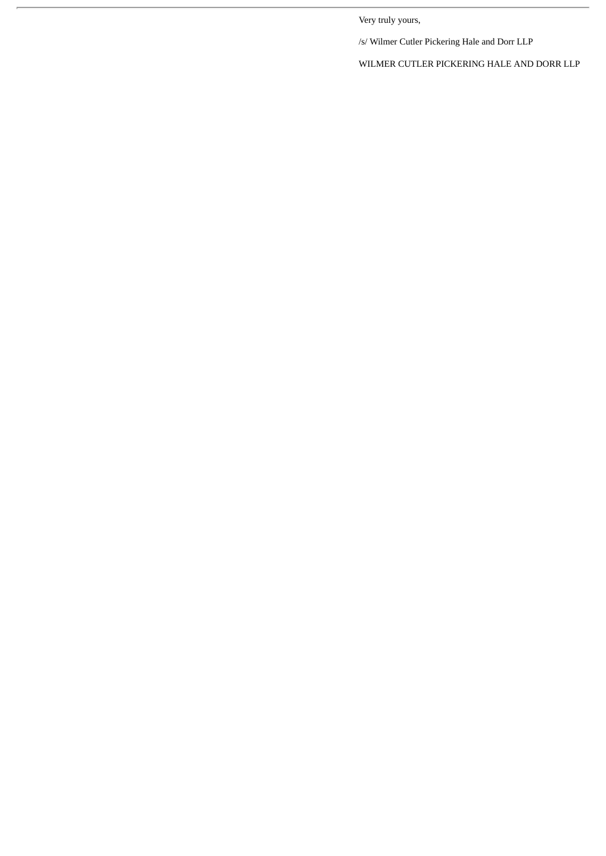Very truly yours,

/s/ Wilmer Cutler Pickering Hale and Dorr LLP

WILMER CUTLER PICKERING HALE AND DORR LLP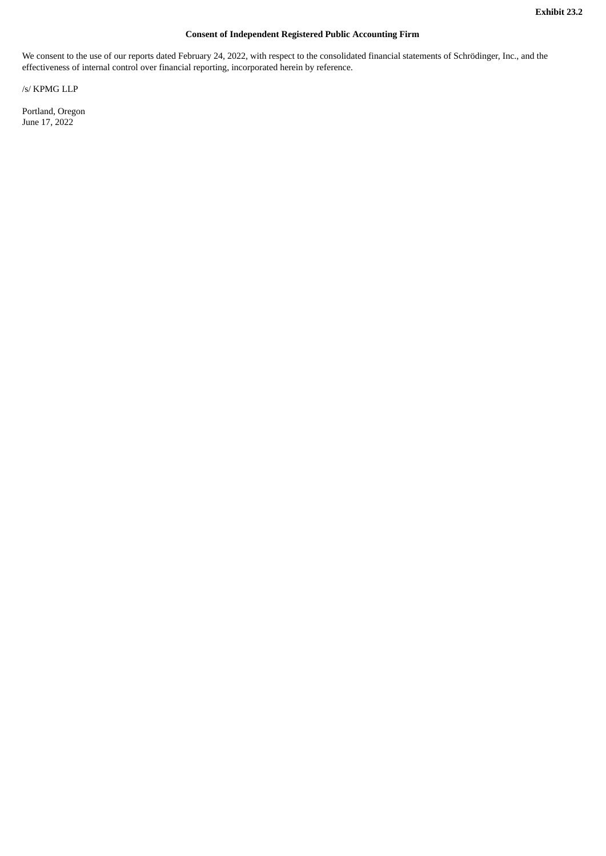# **Consent of Independent Registered Public Accounting Firm**

<span id="page-9-0"></span>We consent to the use of our reports dated February 24, 2022, with respect to the consolidated financial statements of Schrödinger, Inc., and the effectiveness of internal control over financial reporting, incorporated herein by reference.

/s/ KPMG LLP

Portland, Oregon June 17, 2022